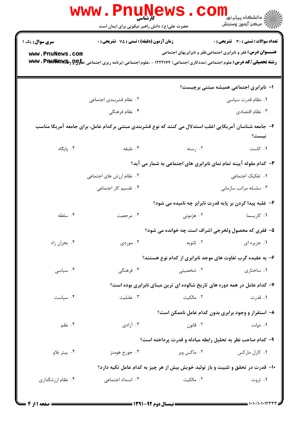|                                                                                                                  | <b>WWW</b><br>کارشناسی                                                                                                                     |                                                                            | ڪ دانشڪاه پيام نور<br>ر∕ = مرڪز آزمون وسنڊش                           |  |
|------------------------------------------------------------------------------------------------------------------|--------------------------------------------------------------------------------------------------------------------------------------------|----------------------------------------------------------------------------|-----------------------------------------------------------------------|--|
|                                                                                                                  | حضرت علی(ع): دانش راهبر نیکویی برای ایمان است                                                                                              |                                                                            |                                                                       |  |
| <b>سری سوال :</b> یک ۱                                                                                           | <b>زمان آزمون (دقیقه) : تستی : 75 ٪ تشریحی : 0</b>                                                                                         |                                                                            | تعداد سوالات : تستي : 30 ٪ تشريحي : 0                                 |  |
| www.PnuNews.com                                                                                                  | <b>رشته تحصیلی/کد درس:</b> علوم اجتماعی (مددکاری اجتماعی) ۱۲۲۲۱۷۴ - ،علوم اجتماعی (برنامه ریزی اجتماعی تع <del>لوP و WW</del> V . PIMINGW& |                                                                            | <b>عنـــوان درس:</b> فقر و نابرابری اجتماعی،فقر و نابرابریهای اجتماعی |  |
|                                                                                                                  |                                                                                                                                            |                                                                            |                                                                       |  |
|                                                                                                                  |                                                                                                                                            |                                                                            | ۱– نابرابری اجتماعی همیشه مبتنی برچیست؟                               |  |
|                                                                                                                  | ۰۲ نظام قشربندی اجتماعی                                                                                                                    |                                                                            | ۰۱ نظام قدرت سیاسی                                                    |  |
|                                                                                                                  | ۰۴ نظام فرهنگی                                                                                                                             |                                                                            | ۰۳ نظام اقتصادی                                                       |  |
| ۲- جامعه شناسان آمریکایی اغلب استدلال می کنند که نوع قشربندی مبتنی برکدام عامل، برای جامعه آمریکا مناسب<br>نيست؟ |                                                                                                                                            |                                                                            |                                                                       |  |
| ۰۴ پایگاه                                                                                                        | ۰۳ طبقه                                                                                                                                    | ۰۲ رسته                                                                    | ۰۱ کاست                                                               |  |
| ۳- کدام مقوله آیینه تمام نمای نابرابری های اجتماعی به شمار می آید؟                                               |                                                                                                                                            |                                                                            |                                                                       |  |
|                                                                                                                  | ۰۲ نظام ارزش های اجتماعی                                                                                                                   |                                                                            | ۰۱ تفکیک اجتماعی                                                      |  |
|                                                                                                                  | ۰۴ تقسیم کار اجتماعی                                                                                                                       |                                                                            | ۰۳ سلسله مراتب سازمانی                                                |  |
|                                                                                                                  |                                                                                                                                            | ۴- غلبه پیدا کردن بر پایه قدرت نابرابر چه نامیده می شود؟                   |                                                                       |  |
| ۰۴ سلطه                                                                                                          | ۰۳ مرجعیت                                                                                                                                  | ۲. هژمونی                                                                  | ۰۱ کاریسما                                                            |  |
|                                                                                                                  |                                                                                                                                            | ۵– فقری که محصول ولخرجی اشراف است چه خوانده می شود؟                        |                                                                       |  |
| ۰۴ بحران زاد                                                                                                     | ۰۳ موردی                                                                                                                                   | ۰۲ ثانویه                                                                  | ٠١. جزيره اي                                                          |  |
| ۶– به عقیده گرب تفاوت های موجد نابرابری از کدام نوع هستند؟                                                       |                                                                                                                                            |                                                                            |                                                                       |  |
| ۰۴ سیاسی                                                                                                         | ۰۳ فرهنگ <i>ی</i>                                                                                                                          | ۰۲ شخصیتی                                                                  | ۰۱ ساختاری                                                            |  |
|                                                                                                                  |                                                                                                                                            | ۷- کدام عامل در همه دوره های تاریخ شالوده ای ترین مبنای نابرابری بوده است؟ |                                                                       |  |
| ۰۴ سیاست                                                                                                         | ۰۳ عاملیت                                                                                                                                  | ۰۲ مالکیت                                                                  | ۰۱ قدرت                                                               |  |
|                                                                                                                  |                                                                                                                                            | ۸– استقرار و وجود برابری بدون کدام عامل ناممکن است؟                        |                                                                       |  |
| ۰۴ نظم                                                                                                           | ۰۳ آزادی                                                                                                                                   | ۰۲ قانون                                                                   | ۰۱ دولت                                                               |  |
|                                                                                                                  | ۹- کدام صاحب نظر به تحلیل رابطه مبادله و قدرت پرداخته است؟                                                                                 |                                                                            |                                                                       |  |
| ۰۴ پيتر بلاو                                                                                                     | ۰۳ جورج هومنز                                                                                                                              | ۰۲ ماکس وبر                                                                | ۰۱ کارل مارکس                                                         |  |
| ۱۰− قدرت در تحقق و تثبیت و باز تولید خویش بیش از هر چیز به کدام عامل تکیه دارد؟                                  |                                                                                                                                            |                                                                            |                                                                       |  |
| ۰۴ نظام ارزشگذاری                                                                                                | ۰۳ انسداد اجتماعی                                                                                                                          | ۰۲ مالکیت                                                                  | ۰۱ ثروت                                                               |  |
|                                                                                                                  |                                                                                                                                            |                                                                            |                                                                       |  |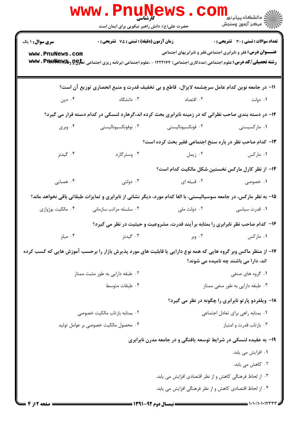|                                                                                                                                                          | www.Pnunews.co<br>حضرت علی(ع): دانش راهبر نیکویی برای ایمان است                                                                            |                                                                                    | راد دانشگاه پيام نور <mark>−<br/>ار</mark> ⊽ مرکز آزمون وسنجش         |  |
|----------------------------------------------------------------------------------------------------------------------------------------------------------|--------------------------------------------------------------------------------------------------------------------------------------------|------------------------------------------------------------------------------------|-----------------------------------------------------------------------|--|
| <b>سری سوال : ۱ یک</b>                                                                                                                                   | <b>زمان آزمون (دقیقه) : تستی : 75 تشریحی : 0</b>                                                                                           |                                                                                    | تعداد سوالات : تستى : 30 - تشريحي : 0                                 |  |
| www.PnuNews.com                                                                                                                                          | <b>رشته تحصیلی/کد درس:</b> علوم اجتماعی (مددکاری اجتماعی) ۱۲۲۲۱۷۴ - ،علوم اجتماعی (برنامه ریزی اجتماعی تع <del>لوP و WW</del> V . PIMINGW& |                                                                                    | <b>عنـــوان درس:</b> فقر و نابرابری اجتماعی،فقر و نابرابریهای اجتماعی |  |
|                                                                                                                                                          | 11- در جامعه نوین کدام عامل سرچشمه لایزال، قاطع و بی تخفیف قدرت و منبع انحصاری توزیع آن است؟                                               |                                                                                    |                                                                       |  |
| ۰۴ دین                                                                                                                                                   | ۰۱ دولت میسمون است. ۲ اقتصاد است سال ۲۰۰۲ دانشگاه (۲۰۰                                                                                     |                                                                                    |                                                                       |  |
|                                                                                                                                                          | ۱۲– در دسته بندی صاحب نظرانی که در زمینه نابرابری بحث کرده اند،گرهارد لنسکی در کدام دسته قرار می گیرد؟                                     |                                                                                    |                                                                       |  |
| ۰۴ وبری                                                                                                                                                  | ۰۳ نوفونکسیونالیستی                                                                                                                        | ۰۲ فونکسیونالیستی                                                                  | ۰۱ مارکسیستی                                                          |  |
|                                                                                                                                                          |                                                                                                                                            | ۱۳- کدام صاحب نظر در باره سنخ اجتماعی فقیر بحث کرده است؟                           |                                                                       |  |
| ۰۴ گیدنز                                                                                                                                                 | ۰۳ وسترگارد                                                                                                                                | ۰۲ زیمل                                                                            | ۰۱ مارکس                                                              |  |
|                                                                                                                                                          |                                                                                                                                            | ۱۴– از نظر کارل مارکس نخستین شکل مالکیت کدام است؟                                  |                                                                       |  |
| ۰۴ همبایی                                                                                                                                                | ۰۳ دولتي                                                                                                                                   | ۰۲ قبیله ای                                                                        | ۰۱ خصوصی                                                              |  |
|                                                                                                                                                          | 1۵- به نظر مارکس، در جامعه سوسیالیستی، با الغا کدام مورد، دیگر نشانی از نابرابری و تمایزات طبقاتی باقی نخواهد ماند؟                        |                                                                                    |                                                                       |  |
| ۰۴ مالکیت بوژوازی                                                                                                                                        | ۰۳ سلسله مراتب سازمانی                                                                                                                     | ۰۲ دولت ملی در                                                                     | ۰۱ قدرت سیاسی                                                         |  |
|                                                                                                                                                          |                                                                                                                                            | ۱۶– کدام صاحب نظر نابرابری را بمثابه بر آیند قدرت، مشروعیت و حیثیت در نظر می گیرد؟ |                                                                       |  |
| ۰۴ میلز                                                                                                                                                  | ۰۳ گیدنز                                                                                                                                   | ۰۲ وبر                                                                             | ۰۱ مارکس                                                              |  |
| ۱۷– از منظر ماکس وبر گروه هایی که همه نوع دارایی یا قابلیت های مورد پذیرش بازار را برحسب آموزش هایی که کسب کرده<br>اند، دارا می باشند چه نامیده می شوند؟ |                                                                                                                                            |                                                                                    |                                                                       |  |
|                                                                                                                                                          | ۰۲ طبقه دارایی به طور مثبت ممتاز                                                                                                           |                                                                                    | ۰۱ گروه های صنفی                                                      |  |
|                                                                                                                                                          | ۰۴ طبقات متوسط                                                                                                                             | ۰۳ طبقه دارایی به طور منفی ممتاز                                                   |                                                                       |  |
|                                                                                                                                                          |                                                                                                                                            |                                                                                    | ۱۸- ویلفردو پارتو نابرابری را چگونه در نظر می گیرد؟                   |  |
|                                                                                                                                                          | ۰۲ بمثابه بازتاب مالکیت خصوصی                                                                                                              |                                                                                    | ٠١ بمثابه راهي براي تعادل اجتماعي                                     |  |
|                                                                                                                                                          | ۰۴ محصول مالكيت خصوصي بر عوامل توليد                                                                                                       |                                                                                    | ۰۳ بازتاب قدرت و امتياز                                               |  |
| ۱۹- به عقیده لنسکی در شرایط توسعه یافتگی و در جامعه مدرن نابرابری                                                                                        |                                                                                                                                            |                                                                                    |                                                                       |  |
|                                                                                                                                                          |                                                                                                                                            |                                                                                    | ۰۱ افزایش می یابد.                                                    |  |
|                                                                                                                                                          |                                                                                                                                            |                                                                                    | ۰۲ کاهش می یابد.                                                      |  |
|                                                                                                                                                          | ۰۳ از لحاظ فرهنگی کاهش و از نظر اقتصادی افزایش می یابد.                                                                                    |                                                                                    |                                                                       |  |
|                                                                                                                                                          |                                                                                                                                            | ۰۴ از لحاظ اقتصادی کاهش و از نظر فرهنگی افزایش می یابد.                            |                                                                       |  |
| <b>: صفحه 12ز 4</b>                                                                                                                                      |                                                                                                                                            | = نیمسال دوم 92-1391 =                                                             |                                                                       |  |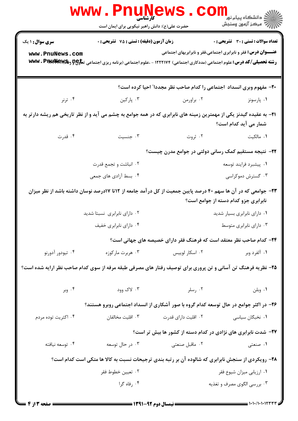|                                                                                                                                                       | کارشناسی<br>حضرت علی(ع): دانش راهبر نیکویی برای ایمان است |                         | ران دانشگاه پيام نور ■<br> /> مرکز آزمون وسنجش                                                                                                                                                                               |  |  |
|-------------------------------------------------------------------------------------------------------------------------------------------------------|-----------------------------------------------------------|-------------------------|------------------------------------------------------------------------------------------------------------------------------------------------------------------------------------------------------------------------------|--|--|
| <b>سری سوال : ۱ یک</b>                                                                                                                                | زمان آزمون (دقیقه) : تستی : 75 تشریحی : 0                 |                         | <b>تعداد سوالات : تستی : 30 ٪ تشریحی : 0</b>                                                                                                                                                                                 |  |  |
| www.PnuNews.com                                                                                                                                       |                                                           |                         | <b>عنـــوان درس:</b> فقر و نابرابری اجتماعی،فقر و نابرابریهای اجتماعی<br><b>رشته تحصیلی/کد درس:</b> علوم اجتماعی (مددکاری اجتماعی) ۱۲۲۲۱۷۴ - ،علوم اجتماعی (برنامه ریزی اجتماعی ت <del>ماوPC و WW</del> V <b>. PINLIMAWS</b> |  |  |
| 20- مفهوم وبرى انسداد اجتماعي را كدام صاحب نظر مجددا" احيا كرده است؟                                                                                  |                                                           |                         |                                                                                                                                                                                                                              |  |  |
| ۰۴ ترنر                                                                                                                                               | ۰۳ پارکین                                                 | ۰۲ براورمن              | ۰۱ پارسونز                                                                                                                                                                                                                   |  |  |
| <b>۲۱</b> - به عقیده گیدنز یکی از مهمترین زمینه های نابرابری که در همه جوامع به چشم می آید و از نظر تاریخی هم ریشه دارتر به<br>شمار می آید کدام است؟  |                                                           |                         |                                                                                                                                                                                                                              |  |  |
| ۰۴ قدرت                                                                                                                                               | ۰۳ جنسیت                                                  |                         | <b>۱.</b> مالکیت سه سه ۲. ثروت                                                                                                                                                                                               |  |  |
|                                                                                                                                                       | ۲۲- نتیجه مستقیم کمک رسانی دولتی در جوامع مدرن چیست؟      |                         |                                                                                                                                                                                                                              |  |  |
|                                                                                                                                                       | ۰۲ انباشت و تجمع قدرت                                     |                         | ٠١. پيشبرد فرايند توسعه                                                                                                                                                                                                      |  |  |
|                                                                                                                                                       | ۰۴ بسط آزادی های جمعی                                     |                         | ۰۳ گسترش دموکراسی                                                                                                                                                                                                            |  |  |
| ۲۳– جوامعی که در آن ها سهم ۴۰ درصد پایین جمعیت از کل درآمد جامعه از ۱۲تا ۱۷درصد نوسان داشته باشد از نظر میزان<br>نابرابری جزو کدام دسته از جوامع است؟ |                                                           |                         |                                                                                                                                                                                                                              |  |  |
|                                                                                                                                                       | ۰۲ دارای نابرابری نسبتا شدید                              |                         | ۰۱ دارای نابرابری بسیار شدید                                                                                                                                                                                                 |  |  |
|                                                                                                                                                       | ۰۴ دارای نابرابری خفیف                                    | ۰۳ دارای نابرابری متوسط |                                                                                                                                                                                                                              |  |  |
|                                                                                                                                                       |                                                           |                         | ۲۴– کدام صاحب نظر معتقد است که فرهنگ فقر دارای خصیصه های جهانی است؟                                                                                                                                                          |  |  |
| ۰۴ تیودور آدورنو                                                                                                                                      | ۰۳ هربرت مارکوزه                                          | ۰۲ اسکار لوییس          | ١. آلفرد وبر                                                                                                                                                                                                                 |  |  |
| ۲۵- نظریه فرهنگ تن آسانی و تن پروری برای توصیف رفتار های مصرفی طبقه مرفه از سوی کدام صاحب نظر ارایه شده است؟                                          |                                                           |                         |                                                                                                                                                                                                                              |  |  |
| ۰۴ وبر                                                                                                                                                | ۰۳ لاک وود                                                | ۰۲ رسلر                 | ٠١ وبلن                                                                                                                                                                                                                      |  |  |
|                                                                                                                                                       |                                                           |                         | ۲۶– در اکثر جوامع در حال توسعه کدام گروه با صور آشکاری از انسداد اجتماعی روبرو هستند؟                                                                                                                                        |  |  |
| ۰۴ اکثریت توده مردم                                                                                                                                   | ۰۳ اقلیت مخالفان                                          | ۰۲ اقلیت دارای قدرت     | ۰۱ نخبگان سیاسی                                                                                                                                                                                                              |  |  |
|                                                                                                                                                       |                                                           |                         | ۲۷– شدت نابرابری های نژادی در کدام دسته از کشور ها بیش تر است؟                                                                                                                                                               |  |  |
| ۰۴ توسعه نيافته                                                                                                                                       | ۰۳ در حال توسعه                                           | ٠٢ ماقبل صنعتي          | ۱. صنعتی                                                                                                                                                                                                                     |  |  |
| ۲۸- رویکردی از سنجش نابرابری که شالوده آن بر رتبه بندی ترجیحات نسبت به کالا ها متکی است کدام است؟                                                     |                                                           |                         |                                                                                                                                                                                                                              |  |  |
|                                                                                                                                                       | ۰۲ تعيين خطوط فقر                                         |                         | ۰۱ ارزیابی میزان شیوع فقر                                                                                                                                                                                                    |  |  |
|                                                                                                                                                       | ۰۴ رفاه گرا                                               |                         | ۰۳ بررسي الگوي مصرف و تغذيه                                                                                                                                                                                                  |  |  |
|                                                                                                                                                       |                                                           |                         |                                                                                                                                                                                                                              |  |  |

= ۱۰۱۰/۱۰۱۰۱۲۳۳